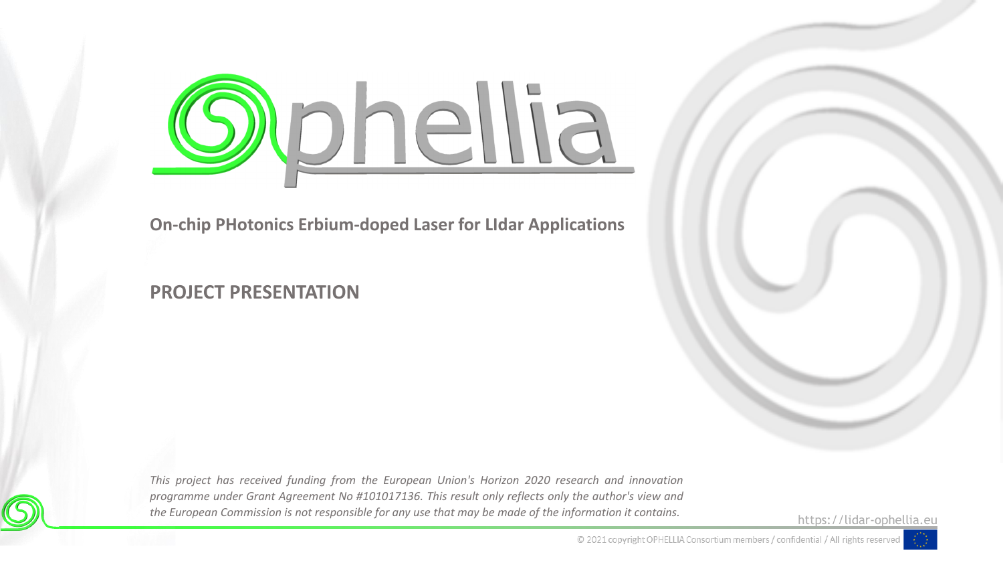

**On-chip PHotonics Erbium-doped Laser for LIdar Applications**

### **PROJECT PRESENTATION**

*This project has received funding from the European Union's Horizon 2020 research and innovation programme under Grant Agreement No #101017136. This result only reflects only the author's view and* the European Commission is not responsible for any use that may be made of the information it contains.

https://lidar-ophellia.eu



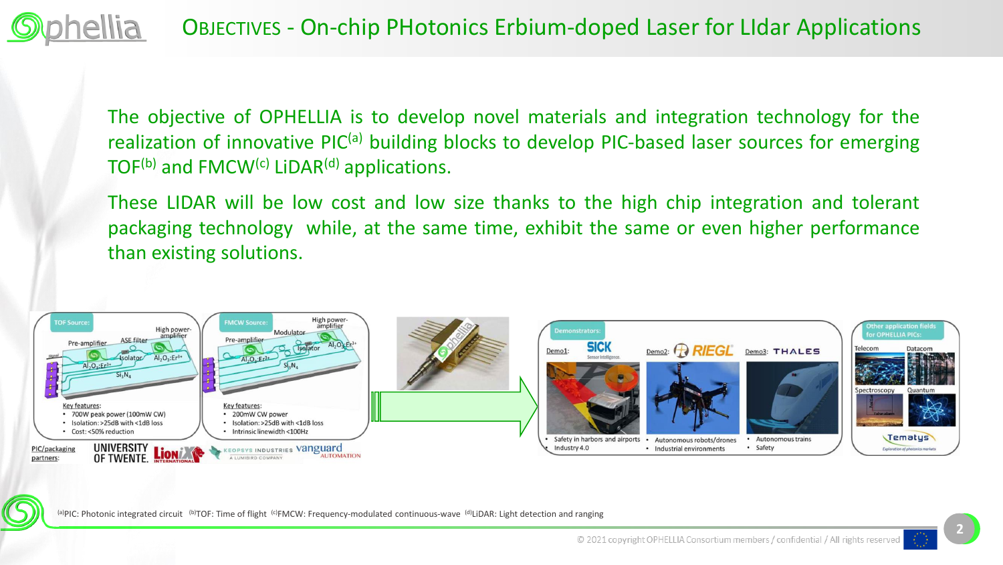OBJECTIVES - On-chip PHotonics Erbium-doped Laser for LIdar Applications

The objective of OPHELLIA is to develop novel materials and integration technology for the realization of innovative PIC<sup>(a)</sup> building blocks to develop PIC-based laser sources for emerging TOF<sup>(b)</sup> and FMCW<sup>(c)</sup> LiDAR<sup>(d)</sup> applications.

These LIDAR will be low cost and low size thanks to the high chip integration and tolerant packaging technology while, at the same time, exhibit the same or even higher performance than existing solutions.



(a)PIC: Photonic integrated circuit <sup>(b)</sup>TOF: Time of flight <sup>(c)</sup>FMCW: Frequency-modulated continuous-wave <sup>(d)</sup>LiDAR: Light detection and ranging

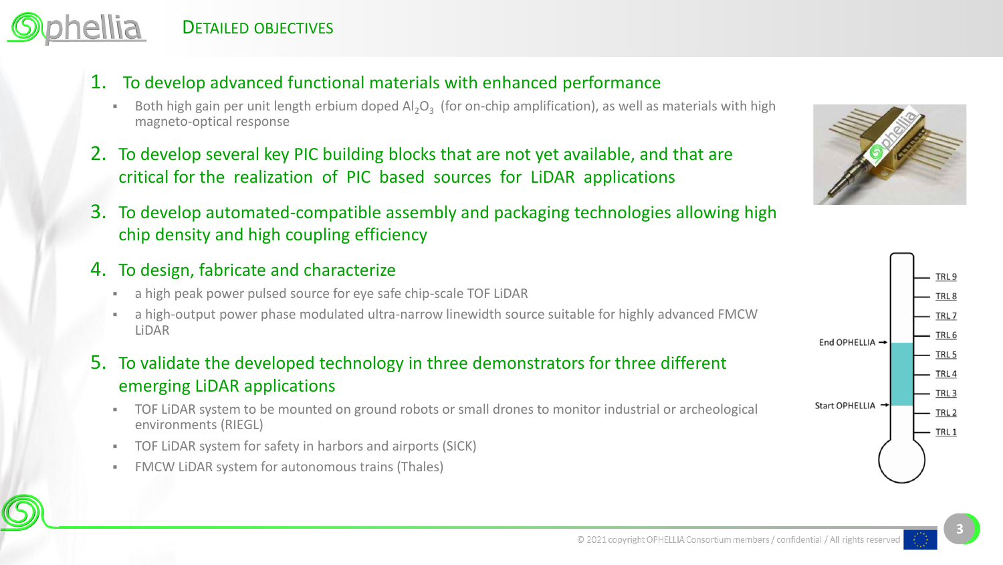- 1. To develop advanced functional materials with enhanced performance
	- **■** Both high gain per unit length erbium doped Al<sub>2</sub>O<sub>3</sub> (for on-chip amplification), as well as materials with high magneto-optical response
- 2. To develop several key PIC building blocks that are not yet available, and that are critical for the realization of PIC based sources for LiDAR applications
- 3. To develop automated-compatible assembly and packaging technologies allowing high chip density and high coupling efficiency
- 4. To design, fabricate and characterize
	- **EXECT** a high peak power pulsed source for eye safe chip-scale TOF LiDAR
	- a high-output power phase modulated ultra-narrow linewidth source suitable for highly advanced FMCW LiDAR
- 5. To validate the developed technology in three demonstrators for three different emerging LiDAR applications
	- TOF LIDAR system to be mounted on ground robots or small drones to monitor industrial or archeological environments (RIEGL)
	- TOF LiDAR system for safety in harbors and airports (SICK)
	- **FMCW LIDAR system for autonomous trains (Thales)**





**3**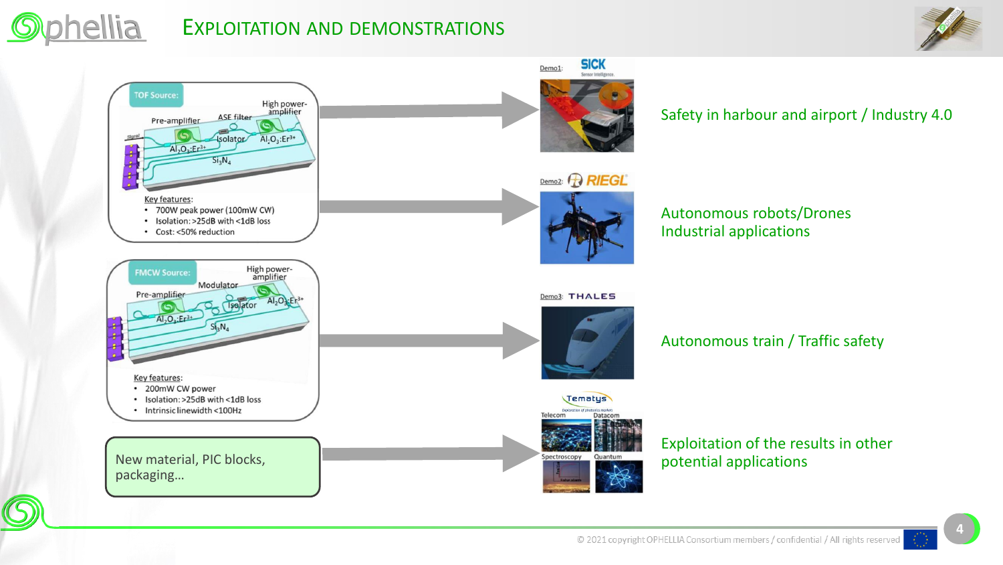

## EXPLOITATION AND DEMONSTRATIONS





#### Autonomous robots/Drones Industrial applications

#### Autonomous train / Traffic safety

# Exploitation of the results in other